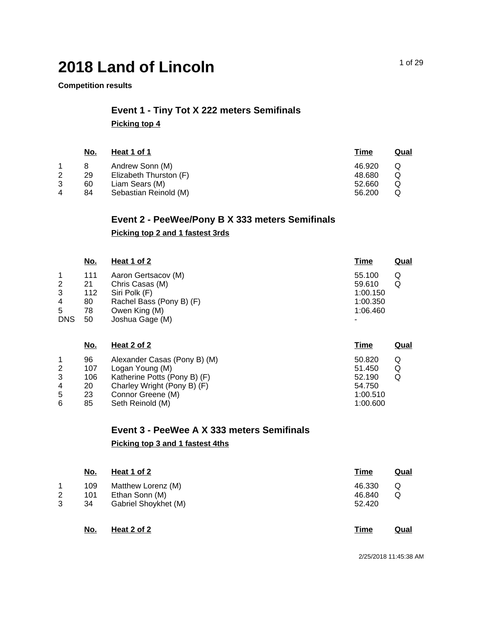#### **Competition results**

### **Event 1 - Tiny Tot X 222 meters Semifinals Picking top 4**

| No. | Heat 1 of 1            | Time   | Qual |
|-----|------------------------|--------|------|
|     | Andrew Sonn (M)        | 46.920 | O    |
| 29  | Elizabeth Thurston (F) | 48.680 | Q    |
| 60  | Liam Sears (M)         | 52.660 |      |
| 84  | Sebastian Reinold (M)  | 56.200 |      |
|     |                        |        |      |

## **Event 2 - PeeWee/Pony B X 333 meters Semifinals Picking top 2 and 1 fastest 3rds**

|                                                | <u>No.</u>                         | Heat 1 of 2                                                                                                             | <b>Time</b>                                               | <u>Qual</u> |
|------------------------------------------------|------------------------------------|-------------------------------------------------------------------------------------------------------------------------|-----------------------------------------------------------|-------------|
| $\mathbf{1}$<br>2<br>3<br>4<br>5<br><b>DNS</b> | 111<br>21<br>112<br>80<br>78<br>50 | Aaron Gertsacov (M)<br>Chris Casas (M)<br>Siri Polk (F)<br>Rachel Bass (Pony B) (F)<br>Owen King (M)<br>Joshua Gage (M) | 55.100<br>59.610<br>1:00.150<br>1:00.350<br>1:06.460<br>۰ | Q<br>Q      |
|                                                | <u>No.</u>                         | <u>Heat 2 of 2</u>                                                                                                      | <u>Time</u>                                               | <b>Qual</b> |
| 1                                              | ΩG                                 | Alexander Casse (Dony R) (M)                                                                                            | <b>EU 850</b>                                             | ∩           |

|   | 96  | Alexander Casas (Pony B) (M) | 50.820   | Q |
|---|-----|------------------------------|----------|---|
| 2 | 107 | Logan Young (M)              | 51.450   | Q |
| 3 | 106 | Katherine Potts (Pony B) (F) | 52.190   | Q |
| 4 | 20  | Charley Wright (Pony B) (F)  | 54.750   |   |
| 5 | 23  | Connor Greene (M)            | 1:00.510 |   |
| 6 | 85  | Seth Reinold (M)             | 1:00.600 |   |

#### **Event 3 - PeeWee A X 333 meters Semifinals**

#### **Picking top 3 and 1 fastest 4ths**

|             | <u>No.</u>       | Heat 1 of 2                                                  | <u>Time</u>                | <u>Qual</u> |
|-------------|------------------|--------------------------------------------------------------|----------------------------|-------------|
| 1<br>2<br>3 | 109<br>101<br>34 | Matthew Lorenz (M)<br>Ethan Sonn (M)<br>Gabriel Shoykhet (M) | 46.330<br>46.840<br>52.420 | Q<br>Q      |
|             | <u>No.</u>       | Heat 2 of 2                                                  | <u>Time</u>                | <u>Qual</u> |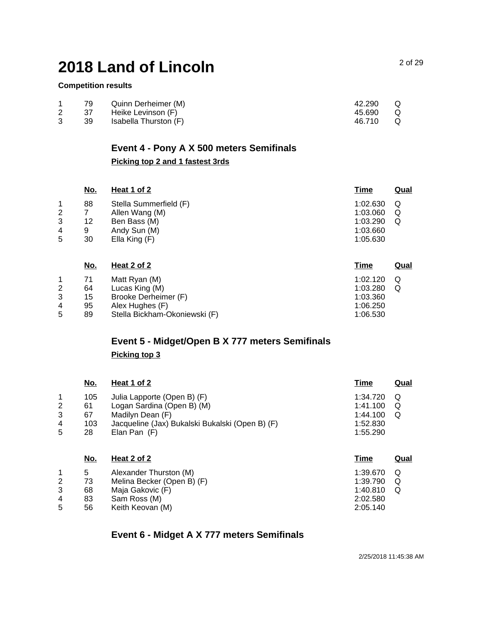#### **Competition results**

| 79  | Quinn Derheimer (M)   | 42.290   | Q |
|-----|-----------------------|----------|---|
| -37 | Heike Levinson (F)    | 45.690 Q |   |
| -39 | Isabella Thurston (F) | 46.710   | Q |

# **Event 4 - Pony A X 500 meters Semifinals**

# **Picking top 2 and 1 fastest 3rds**

|   | <u>No.</u> | <u>Heat 1 of 2</u>     | <b>Time</b> | <u>Qual</u> |
|---|------------|------------------------|-------------|-------------|
| 1 | 88         | Stella Summerfield (F) | 1:02.630    | Q           |
| 2 |            | Allen Wang (M)         | 1:03.060    | Q           |
| 3 | 12         | Ben Bass (M)           | 1:03.290    | Q           |
| 4 | 9          | Andy Sun (M)           | 1:03.660    |             |
| 5 | 30         | Ella King (F)          | 1:05.630    |             |
|   | No.        | Heat 2 of 2            | Time        | Qual        |

| 1:02.120 |   |
|----------|---|
| 1:03.280 | Q |
| 1:03.360 |   |
| 1:06.250 |   |
| 1:06.530 |   |
|          |   |

# **Event 5 - Midget/Open B X 777 meters Semifinals Picking top 3**

|   | <u>No.</u> | <u>Heat 1 of 2</u>                              | <u>Time</u> | Qual |
|---|------------|-------------------------------------------------|-------------|------|
|   | 105        | Julia Lapporte (Open B) (F)                     | 1:34.720    | Q    |
| 2 | 61         | Logan Sardina (Open B) (M)                      | 1:41.100    | Q    |
| 3 | 67         | Madilyn Dean (F)                                | 1:44.100    | Q    |
| 4 | 103        | Jacqueline (Jax) Bukalski Bukalski (Open B) (F) | 1:52.830    |      |
| 5 | 28         | Elan Pan $(F)$                                  | 1:55.290    |      |
|   |            |                                                 |             |      |
|   |            |                                                 |             |      |

| <u>No.</u> | Heat 2 of 2                | Time     | Qual |
|------------|----------------------------|----------|------|
| 5          | Alexander Thurston (M)     | 1:39.670 | O    |
| 73         | Melina Becker (Open B) (F) | 1:39.790 | Q    |
| 68         | Maja Gakovic (F)           | 1:40.810 |      |
| 83         | Sam Ross (M)               | 2:02.580 |      |
| 56         | Keith Keovan (M)           | 2:05.140 |      |
|            |                            |          |      |

### **Event 6 - Midget A X 777 meters Semifinals**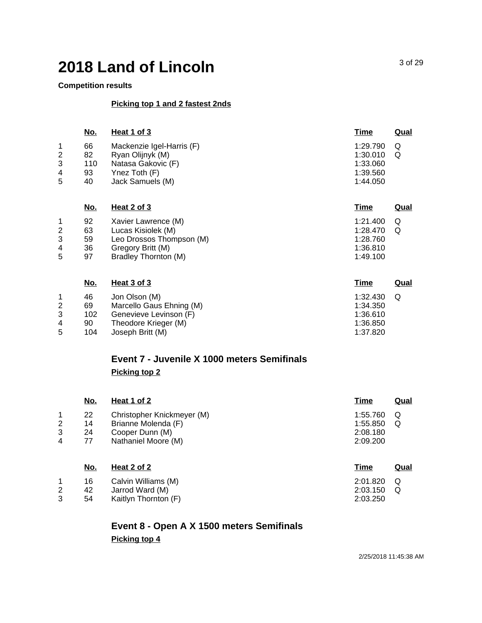#### **Competition results**

#### **Picking top 1 and 2 fastest 2nds**

|   | <u>No.</u> | Heat 1 of 3               | <b>Time</b> | <u>Qual</u> |
|---|------------|---------------------------|-------------|-------------|
|   | 66         | Mackenzie Igel-Harris (F) | 1:29.790    | Q           |
| 2 | 82         | Ryan Olijnyk (M)          | 1:30.010    | Q           |
| 3 | 110        | Natasa Gakovic (F)        | 1:33.060    |             |
| 4 | 93         | Ynez Toth (F)             | 1:39.560    |             |
| 5 | 40         | Jack Samuels (M)          | 1:44.050    |             |
|   |            |                           |             |             |
|   |            |                           |             |             |

|   | <u>No.</u> | Heat 2 of 3              | Time     | Qual |
|---|------------|--------------------------|----------|------|
|   | 92         | Xavier Lawrence (M)      | 1:21.400 | Q    |
| 2 | 63         | Lucas Kisiolek (M)       | 1:28.470 | Q    |
| 3 | 59         | Leo Drossos Thompson (M) | 1:28.760 |      |
| 4 | 36         | Gregory Britt (M)        | 1:36.810 |      |
| 5 | 97         | Bradley Thornton (M)     | 1:49.100 |      |

|   | No. | Heat 3 of 3              | <u>Time</u> | Qual |
|---|-----|--------------------------|-------------|------|
|   | 46  | Jon Olson (M)            | 1:32.430    | Q    |
| 2 | 69  | Marcello Gaus Ehning (M) | 1:34.350    |      |
| 3 | 102 | Genevieve Levinson (F)   | 1:36.610    |      |
| 4 | 90  | Theodore Krieger (M)     | 1:36.850    |      |
| 5 | 104 | Joseph Britt (M)         | 1:37.820    |      |

### **Event 7 - Juvenile X 1000 meters Semifinals Picking top 2**

|   | <u>No.</u> | Heat 1 of 2                | <u>Time</u> | <u>Qual</u> |
|---|------------|----------------------------|-------------|-------------|
| 1 | 22         | Christopher Knickmeyer (M) | 1:55.760    | Q           |
| 2 | 14         | Brianne Molenda (F)        | 1:55.850    | Q           |
| 3 | 24         | Cooper Dunn (M)            | 2:08.180    |             |
| 4 | 77         | Nathaniel Moore (M)        | 2:09.200    |             |
|   |            |                            |             |             |
|   | No.        | Heat 2 of 2                | Time        | <u>Qual</u> |
| 1 | 16         | Calvin Williams (M)        | 2:01.820    | Q           |
| 2 | 42         | Jarrod Ward (M)            | 2:03.150    | Q           |
| 3 | 54         | Kaitlyn Thornton (F)       | 2:03.250    |             |

# **Event 8 - Open A X 1500 meters Semifinals Picking top 4**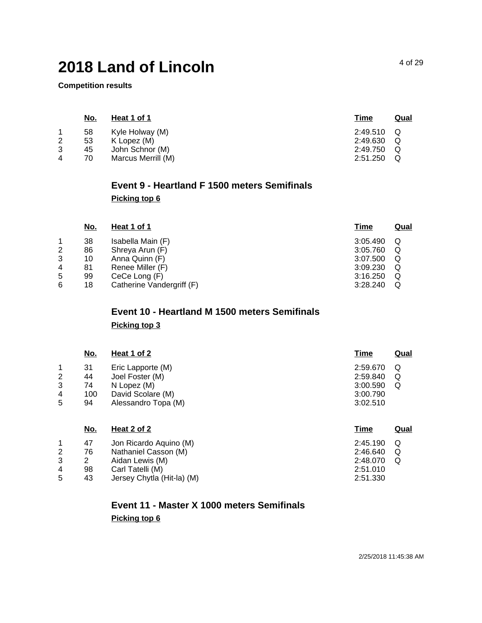**Competition results**

|   | <u>No.</u> | Heat 1 of 1        | Time     | <u>Qual</u> |
|---|------------|--------------------|----------|-------------|
|   | 58         | Kyle Holway (M)    | 2:49.510 | O C         |
| 2 | 53         | K Lopez (M)        | 2:49.630 | Q           |
| 3 | 45         | John Schnor (M)    | 2:49.750 | Q           |
| 4 | 70         | Marcus Merrill (M) | 2:51.250 | Q           |

# **Event 9 - Heartland F 1500 meters Semifinals Picking top 6**

| <u>No.</u> | <u>Heat 1 of 1</u>        | <u>Time</u> | Qual |
|------------|---------------------------|-------------|------|
| 38         | Isabella Main (F)         | 3:05.490    | Q    |
| 86         | Shreya Arun (F)           | 3:05.760    | Q    |
| 10         | Anna Quinn (F)            | 3:07.500    | Q    |
| 81         | Renee Miller (F)          | 3:09.230    | Q    |
| 99         | CeCe Long (F)             | 3:16.250    | Q    |
| 18         | Catherine Vandergriff (F) | 3:28.240    | Q    |
|            |                           |             |      |

# **Event 10 - Heartland M 1500 meters Semifinals Picking top 3**

|                               | <u>No.</u>                  | <u>Heat 1 of 2</u>                                                                              | <u>Time</u>                                              | Qual        |
|-------------------------------|-----------------------------|-------------------------------------------------------------------------------------------------|----------------------------------------------------------|-------------|
| $\overline{2}$<br>3<br>4<br>5 | 31<br>44<br>74<br>100<br>94 | Eric Lapporte (M)<br>Joel Foster (M)<br>N Lopez (M)<br>David Scolare (M)<br>Alessandro Topa (M) | 2:59.670<br>2:59.840<br>3:00.590<br>3:00.790<br>3:02.510 | Q<br>Q<br>Q |
|                               | No.                         | Heat 2 of 2                                                                                     | Time                                                     | Qual        |

| $\overline{4}$ | 47<br>76<br>98 | Jon Ricardo Aguino (M)<br>Nathaniel Casson (M)<br>Aidan Lewis (M)<br>Carl Tatelli (M) | 2:45.190<br>2:46.640<br>2:48.070<br>2:51.010 | (C) |
|----------------|----------------|---------------------------------------------------------------------------------------|----------------------------------------------|-----|
| .5             | 43             | Jersey Chytla (Hit-la) (M)                                                            | 2:51.330                                     |     |

# **Event 11 - Master X 1000 meters Semifinals Picking top 6**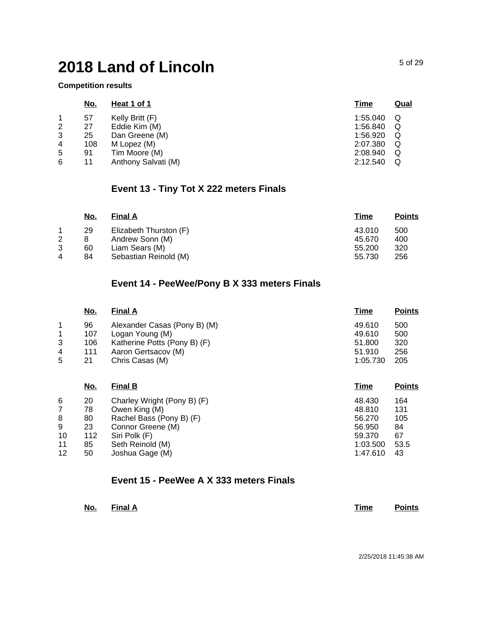**Competition results**

| <u>No.</u> | Heat 1 of 1         | <b>Time</b>   | <u>Qual</u> |
|------------|---------------------|---------------|-------------|
| 57         | Kelly Britt (F)     | 1:55.040      |             |
| 27         | Eddie Kim (M)       | 1:56.840      | Q           |
| 25         | Dan Greene (M)      | 1:56.920      | Q           |
| 108        | M Lopez (M)         | 2:07.380      | Q           |
| 91         |                     | 2:08.940      | Q           |
| 11         | Anthony Salvati (M) | 2:12.540      | Q           |
|            |                     | Tim Moore (M) |             |

## **Event 13 - Tiny Tot X 222 meters Finals**

|   | <u>No.</u> | <b>Final A</b>         | Time   | <b>Points</b> |
|---|------------|------------------------|--------|---------------|
|   | 29         | Elizabeth Thurston (F) | 43.010 | 500           |
| 2 |            | Andrew Sonn (M)        | 45.670 | 400           |
| 3 | 60         | Liam Sears (M)         | 55.200 | 320           |
| 4 | 84         | Sebastian Reinold (M)  | 55.730 | 256           |

## **Event 14 - PeeWee/Pony B X 333 meters Finals**

|   | <u>No.</u> | <b>Final A</b>               | <u>Time</u> | <b>Points</b> |
|---|------------|------------------------------|-------------|---------------|
| 1 | 96         | Alexander Casas (Pony B) (M) | 49.610      | 500           |
| 1 | 107        | Logan Young (M)              | 49.610      | 500           |
| 3 | 106        | Katherine Potts (Pony B) (F) | 51.800      | 320           |
| 4 | 111        | Aaron Gertsacov (M)          | 51.910      | 256           |
| 5 | 21         | Chris Casas (M)              | 1:05.730    | 205           |
|   | No.        | <b>Final B</b>               | Time        | <b>Points</b> |

| 6  | 20  | Charley Wright (Pony B) (F) | 48.430   | 164  |
|----|-----|-----------------------------|----------|------|
|    | 78  | Owen King (M)               | 48.810   | 131  |
| 8  | 80  | Rachel Bass (Pony B) (F)    | 56.270   | 105  |
| 9  | 23  | Connor Greene (M)           | 56.950   | 84   |
| 10 | 112 | Siri Polk (F)               | 59.370   | 67   |
| 11 | 85  | Seth Reinold (M)            | 1:03.500 | 53.5 |
| 12 | 50  | Joshua Gage (M)             | 1:47.610 | 43   |

#### **Event 15 - PeeWee A X 333 meters Finals**

| No.<br>$\sim$ | <b>Final A</b> |  |  | Time | <b>Points</b> |
|---------------|----------------|--|--|------|---------------|
|               |                |  |  |      |               |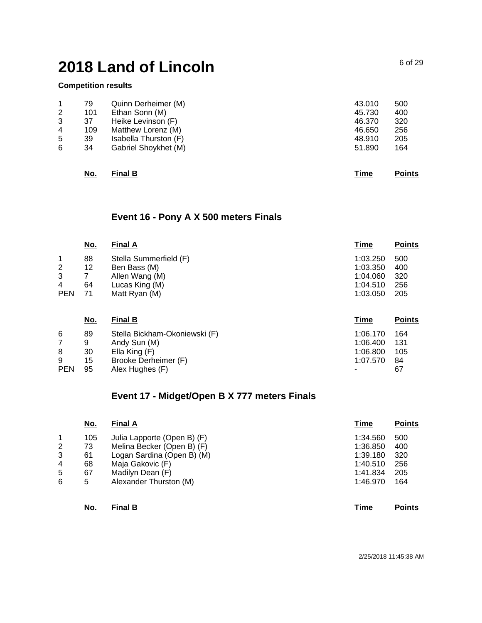#### **Competition results**

| 1              | 79  | Quinn Derheimer (M)   | 43.010 | 500 |
|----------------|-----|-----------------------|--------|-----|
| $\overline{2}$ | 101 | Ethan Sonn (M)        | 45.730 | 400 |
| 3              | 37  | Heike Levinson (F)    | 46.370 | 320 |
| 4              | 109 | Matthew Lorenz (M)    | 46.650 | 256 |
| 5              | 39  | Isabella Thurston (F) | 48.910 | 205 |
| 6              | 34  | Gabriel Shoykhet (M)  | 51.890 | 164 |
|                |     |                       |        |     |
|                |     |                       |        |     |

# **No. Final B Time Points**

### **Event 16 - Pony A X 500 meters Finals**

|             | No.        | <b>Final A</b>                | <b>Time</b> | <b>Points</b> |
|-------------|------------|-------------------------------|-------------|---------------|
| $\mathbf 1$ | 88         | Stella Summerfield (F)        | 1:03.250    | 500           |
| 2           | 12         | Ben Bass (M)                  | 1:03.350    | 400           |
| 3           | 7          | Allen Wang (M)                | 1:04.060    | 320           |
| 4           | 64         | Lucas King (M)                | 1:04.510    | 256           |
| <b>PEN</b>  | 71         | Matt Ryan (M)                 | 1:03.050    | 205           |
|             | <u>No.</u> | <b>Final B</b>                | Time        | <b>Points</b> |
| 6           | 89         | Stella Bickham-Okoniewski (F) | 1:06.170    | 164           |

|            |      | Andy Sun (M)         | 1:06.400 131 |    |
|------------|------|----------------------|--------------|----|
| 8          | 30   | Ella King (F)        | 1:06.800 105 |    |
| 9          | 15   | Brooke Derheimer (F) | 1:07.570 84  |    |
| <b>PEN</b> | - 95 | Alex Hughes (F)      |              | 67 |

## **Event 17 - Midget/Open B X 777 meters Finals**

|   | No. | <b>Final A</b>              | Time     | <b>Points</b> |
|---|-----|-----------------------------|----------|---------------|
|   | 105 | Julia Lapporte (Open B) (F) | 1:34.560 | 500           |
| 2 | 73  | Melina Becker (Open B) (F)  | 1:36.850 | 400           |
| 3 | 61  | Logan Sardina (Open B) (M)  | 1:39.180 | 320           |
| 4 | 68  | Maja Gakovic (F)            | 1:40.510 | 256           |
| 5 | 67  | Madilyn Dean (F)            | 1:41.834 | 205           |
| 6 | 5   | Alexander Thurston (M)      | 1:46.970 | 164           |
|   |     |                             |          |               |

#### **No. Final B Time Points**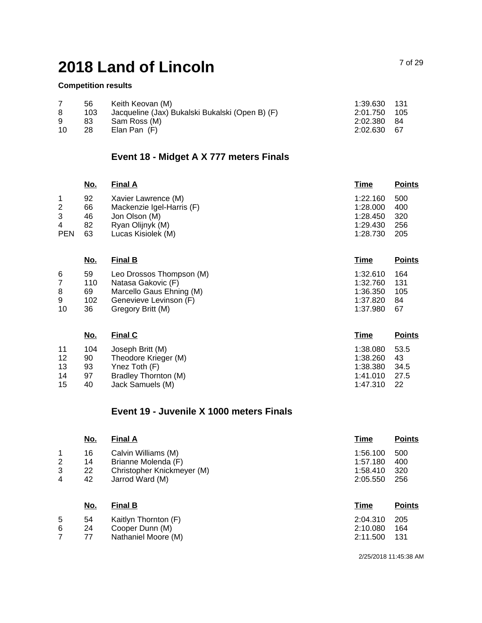#### **Competition results**

|    | 56  | Keith Keovan (M)                                | 1:39.630 131 |  |
|----|-----|-------------------------------------------------|--------------|--|
|    | 103 | Jacqueline (Jax) Bukalski Bukalski (Open B) (F) | 2:01.750 105 |  |
| 9  | 83  | Sam Ross (M)                                    | 2:02.380 84  |  |
| 10 | 28  | Elan Pan (F)                                    | 2:02.630 67  |  |

## **Event 18 - Midget A X 777 meters Finals**

|                | <u>No.</u> | <b>Final A</b>            | Time     | <b>Points</b> |
|----------------|------------|---------------------------|----------|---------------|
|                | 92         | Xavier Lawrence (M)       | 1:22.160 | 500           |
| $\overline{2}$ | 66         | Mackenzie Igel-Harris (F) | 1:28.000 | 400           |
| 3              | 46         | Jon Olson (M)             | 1:28.450 | 320           |
| 4              | 82         | Ryan Olijnyk (M)          | 1:29.430 | 256           |
| <b>PEN</b>     | 63         | Lucas Kisiolek (M)        | 1:28.730 | 205           |
|                |            |                           |          |               |

|    | <u>No.</u> | <b>Final B</b>           | Time     | <b>Points</b> |
|----|------------|--------------------------|----------|---------------|
| 6  | 59         | Leo Drossos Thompson (M) | 1:32.610 | 164           |
|    | 110        | Natasa Gakovic (F)       | 1:32.760 | 131           |
| 8  | 69         | Marcello Gaus Ehning (M) | 1:36.350 | 105           |
| 9  | 102        | Genevieve Levinson (F)   | 1:37.820 | 84            |
| 10 | 36         | Gregory Britt (M)        | 1:37.980 | -67           |
|    |            |                          |          |               |

|    | <u>No.</u> | <b>Final C</b>       | Time     | <b>Points</b> |
|----|------------|----------------------|----------|---------------|
| 11 | 104        | Joseph Britt (M)     | 1:38.080 | 53.5          |
| 12 | 90         | Theodore Krieger (M) | 1:38.260 | 43            |
| 13 | 93         | Ynez Toth (F)        | 1:38.380 | 34.5          |
| 14 | 97         | Bradley Thornton (M) | 1:41.010 | 27.5          |
| 15 | 40         | Jack Samuels (M)     | 1:47.310 | -22           |

#### **Event 19 - Juvenile X 1000 meters Finals**

|                | <u>No.</u> | <b>Final A</b>             | Time     | <b>Points</b> |
|----------------|------------|----------------------------|----------|---------------|
| 1              | 16         | Calvin Williams (M)        | 1:56.100 | 500           |
| $\overline{2}$ | 14         | Brianne Molenda (F)        | 1:57.180 | 400           |
| 3              | 22         | Christopher Knickmeyer (M) | 1:58.410 | 320           |
| 4              | 42         | Jarrod Ward (M)            | 2:05.550 | 256           |
|                |            |                            |          |               |
|                | <u>No.</u> | <b>Final B</b>             | Time     | <b>Points</b> |
| 5              | 54         | Kaitlyn Thornton (F)       | 2:04.310 | 205           |
| 6              | 24         | Cooper Dunn (M)            | 2:10.080 | 164           |
| 7              | 77         | Nathaniel Moore (M)        | 2:11.500 | 131           |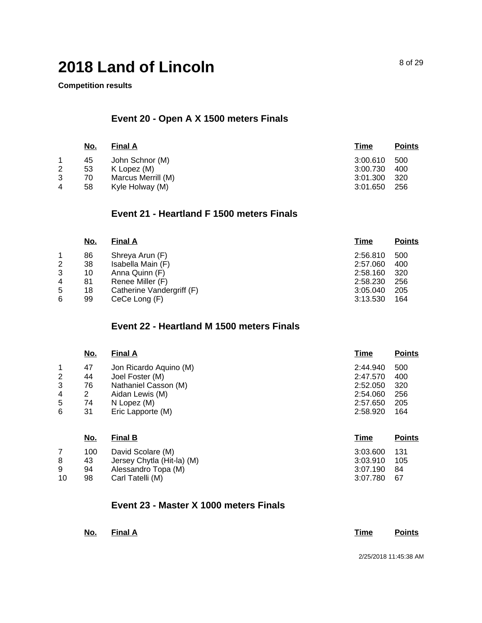**Competition results**

## **Event 20 - Open A X 1500 meters Finals**

|   | <u>No.</u> | <b>Final A</b>     | <u>Time</u> | <b>Points</b> |
|---|------------|--------------------|-------------|---------------|
|   | 45         | John Schnor (M)    | 3:00.610    | 500           |
| 2 | 53         | K Lopez (M)        | 3:00.730    | 400           |
| 3 | 70         | Marcus Merrill (M) | 3:01.300    | 320           |
| 4 | 58         | Kyle Holway (M)    | 3:01.650    | 256           |

#### **Event 21 - Heartland F 1500 meters Finals**

| <u>No.</u> | <b>Final A</b>            | <u>Time</u> | <b>Points</b> |
|------------|---------------------------|-------------|---------------|
| 86         | Shreya Arun (F)           | 2:56.810    | 500           |
| 38         | Isabella Main (F)         | 2:57.060    | 400           |
| 10         | Anna Quinn (F)            | 2:58.160    | 320           |
| 81         | Renee Miller (F)          | 2:58.230    | 256           |
| 18         | Catherine Vandergriff (F) | 3:05.040    | 205           |
| 99         | CeCe Long (F)             | 3:13.530    | 164           |
|            |                           |             |               |

#### **Event 22 - Heartland M 1500 meters Finals**

|   | <u>No.</u> | <b>Final A</b>         | <b>Time</b> | <b>Points</b> |
|---|------------|------------------------|-------------|---------------|
| 1 | 47         | Jon Ricardo Aquino (M) | 2:44.940    | 500           |
| 2 | 44         | Joel Foster (M)        | 2:47.570    | 400           |
| 3 | 76         | Nathaniel Casson (M)   | 2:52.050    | 320           |
| 4 | 2          | Aidan Lewis (M)        | 2:54.060    | 256           |
| 5 | 74         | N Lopez (M)            | 2:57.650    | 205           |
| 6 | 31         | Eric Lapporte (M)      | 2:58.920    | 164           |
|   | No.        | <b>Final B</b>         | Time        | <b>Points</b> |

| 100<br>David Scolare (M)<br>Jersey Chytla (Hit-la) (M)<br>43<br>Alessandro Topa (M)<br>9<br>94<br>10<br>Carl Tatelli (M)<br>98 | 3:03.600 131<br>3:03.910<br>- 105<br>3:07.190 84<br>3:07.780 67 |
|--------------------------------------------------------------------------------------------------------------------------------|-----------------------------------------------------------------|
|--------------------------------------------------------------------------------------------------------------------------------|-----------------------------------------------------------------|

### **Event 23 - Master X 1000 meters Finals**

| No. Final A | Time Points |
|-------------|-------------|
|             |             |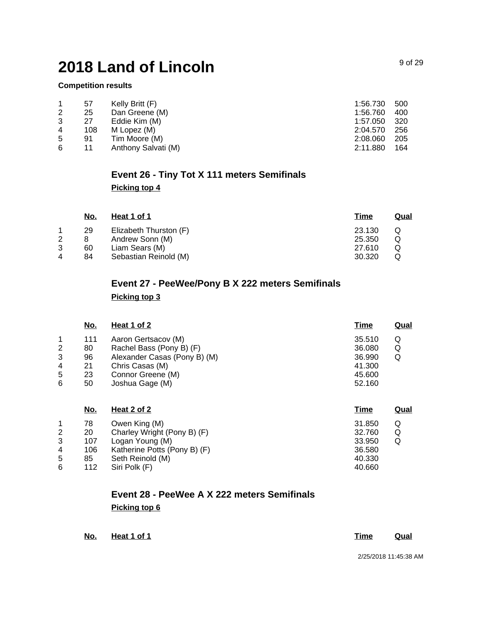#### **Competition results**

|   | 57  | Kelly Britt (F)     | 1:56.730 | 500  |
|---|-----|---------------------|----------|------|
| 2 | 25  | Dan Greene (M)      | 1:56.760 | 400  |
| 3 | 27  | Eddie Kim (M)       | 1:57.050 | -320 |
| 4 | 108 | M Lopez (M)         | 2:04.570 | 256  |
| 5 | 91  | Tim Moore (M)       | 2:08.060 | 205  |
| 6 | 11  | Anthony Salvati (M) | 2:11.880 | 164  |

# **Event 26 - Tiny Tot X 111 meters Semifinals Picking top 4**

| No. | Heat 1 of 1            | <u>Time</u> | Qual |
|-----|------------------------|-------------|------|
| 29  | Elizabeth Thurston (F) | 23.130      | Q    |
|     | Andrew Sonn (M)        | 25.350      |      |
| 60  | Liam Sears (M)         | 27.610      |      |
| 84  | Sebastian Reinold (M)  | 30.320      |      |
|     |                        |             |      |

## **Event 27 - PeeWee/Pony B X 222 meters Semifinals Picking top 3**

|   | <u>No.</u> | <u>Heat 1 of 2</u>           | <u>Time</u> | Qual |
|---|------------|------------------------------|-------------|------|
|   | 111        | Aaron Gertsacov (M)          | 35.510      | Q    |
| 2 | 80         | Rachel Bass (Pony B) (F)     | 36.080      | Q    |
| 3 | 96         | Alexander Casas (Pony B) (M) | 36.990      | Q    |
| 4 | 21         | Chris Casas (M)              | 41.300      |      |
| 5 | 23         | Connor Greene (M)            | 45.600      |      |
| 6 | 50         | Joshua Gage (M)              | 52.160      |      |
|   |            |                              |             |      |
|   |            |                              |             |      |

|   | <u>No.</u> | Heat 2 of 2                  | <u>Time</u> | <b>Qual</b> |
|---|------------|------------------------------|-------------|-------------|
|   | 78         | Owen King (M)                | 31.850      | Q           |
| 2 | 20         | Charley Wright (Pony B) (F)  | 32.760      | Q           |
| 3 | 107        | Logan Young (M)              | 33.950      | Q           |
| 4 | 106        | Katherine Potts (Pony B) (F) | 36.580      |             |
| 5 | 85         | Seth Reinold (M)             | 40.330      |             |
| 6 | 112        | Siri Polk (F)                | 40.660      |             |
|   |            |                              |             |             |

## **Event 28 - PeeWee A X 222 meters Semifinals Picking top 6**

**No. Heat 1 of 1 Time Qual**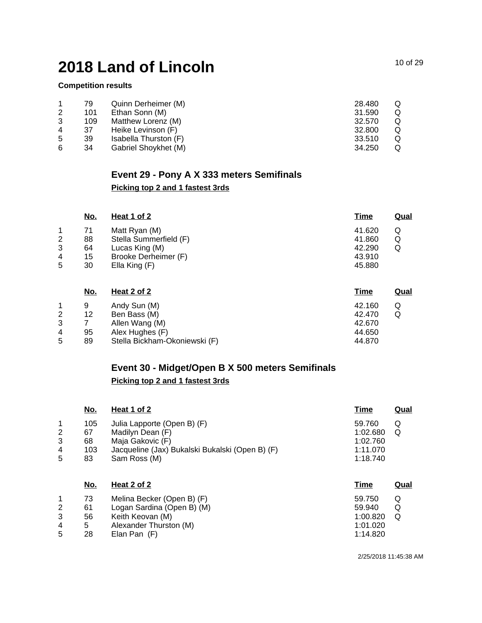#### **Competition results**

|   | 79  | Quinn Derheimer (M)   | 28.480 |  |
|---|-----|-----------------------|--------|--|
| 2 | 101 | Ethan Sonn (M)        | 31.590 |  |
| 3 | 109 | Matthew Lorenz (M)    | 32.570 |  |
| 4 | 37  | Heike Levinson (F)    | 32,800 |  |
| 5 | 39  | Isabella Thurston (F) | 33.510 |  |
| 6 | 34  | Gabriel Shoykhet (M)  | 34.250 |  |

### **Event 29 - Pony A X 333 meters Semifinals**

### **Picking top 2 and 1 fastest 3rds**

|   | <u>No.</u> | Heat 1 of 2            | <u>Time</u> | <u>Qual</u> |
|---|------------|------------------------|-------------|-------------|
|   | 71         | Matt Ryan (M)          | 41.620      | Q           |
| 2 | 88         | Stella Summerfield (F) | 41.860      | Q           |
| 3 | 64         | Lucas King (M)         | 42.290      | Q           |
| 4 | 15         | Brooke Derheimer (F)   | 43.910      |             |
| 5 | 30         | Ella King (F)          | 45.880      |             |
|   |            |                        |             |             |

|   | <u>No.</u> | <u>Heat 2 of 2</u>            | <u>Time</u> | Qual |
|---|------------|-------------------------------|-------------|------|
|   | 9          | Andy Sun (M)                  | 42.160      | Q    |
| 2 | 12         | Ben Bass (M)                  | 42.470      | Q    |
| 3 |            | Allen Wang (M)                | 42.670      |      |
| 4 | 95         | Alex Hughes (F)               | 44.650      |      |
| 5 | 89         | Stella Bickham-Okoniewski (F) | 44.870      |      |

### **Event 30 - Midget/Open B X 500 meters Semifinals Picking top 2 and 1 fastest 3rds**

|                       | <u>No.</u>                   | Heat 1 of 2                                                                                                                            | <b>Time</b>                                            | <b>Qual</b> |
|-----------------------|------------------------------|----------------------------------------------------------------------------------------------------------------------------------------|--------------------------------------------------------|-------------|
| 1<br>2<br>3<br>4<br>5 | 105<br>67<br>68<br>103<br>83 | Julia Lapporte (Open B) (F)<br>Madilyn Dean (F)<br>Maja Gakovic (F)<br>Jacqueline (Jax) Bukalski Bukalski (Open B) (F)<br>Sam Ross (M) | 59.760<br>1:02.680<br>1:02.760<br>1:11.070<br>1:18.740 | Q<br>Q      |
|                       | No.                          | Heat 2 of 2                                                                                                                            | <b>Time</b>                                            | <b>Qual</b> |
|                       | 73                           | Melina Becker (Open B) (F)                                                                                                             | 59.750                                                 | Q           |
| 2                     | 61                           | Logan Sardina (Open B) (M)                                                                                                             | 59.940                                                 | Q           |
| 3                     | 56                           | Keith Keovan (M)                                                                                                                       | 1:00.820                                               | Q           |
| 4                     | 5                            | Alexander Thurston (M)                                                                                                                 | 1:01.020                                               |             |
| 5                     | 28                           | Elan Pan (F)                                                                                                                           | 1:14.820                                               |             |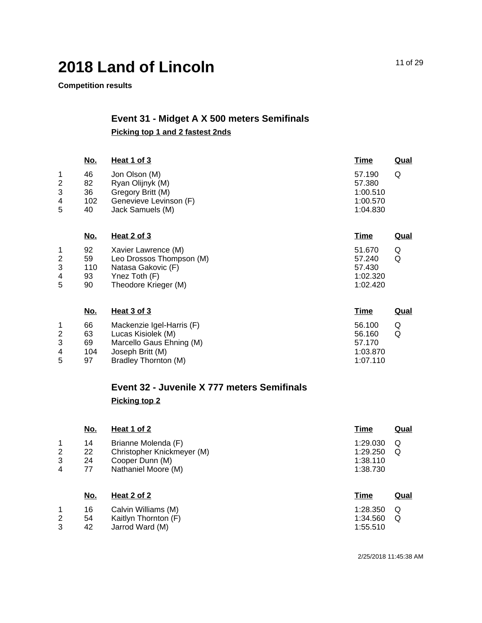**Competition results**

# **Event 31 - Midget A X 500 meters Semifinals Picking top 1 and 2 fastest 2nds**

|                                             | <u>No.</u>                  | <b>Heat 1 of 3</b>                                                                                                      | Time                                                 | <b>Qual</b> |
|---------------------------------------------|-----------------------------|-------------------------------------------------------------------------------------------------------------------------|------------------------------------------------------|-------------|
| 1<br>$\boldsymbol{2}$<br>3<br>4<br>5        | 46<br>82<br>36<br>102<br>40 | Jon Olson (M)<br>Ryan Olijnyk (M)<br>Gregory Britt (M)<br>Genevieve Levinson (F)<br>Jack Samuels (M)                    | 57.190<br>57.380<br>1:00.510<br>1:00.570<br>1:04.830 | Q           |
|                                             | <u>No.</u>                  | <b>Heat 2 of 3</b>                                                                                                      | <u>Time</u>                                          | <u>Qual</u> |
| 1<br>$\overline{c}$<br>3<br>4<br>5          | 92<br>59<br>110<br>93<br>90 | Xavier Lawrence (M)<br>Leo Drossos Thompson (M)<br>Natasa Gakovic (F)<br>Ynez Toth (F)<br>Theodore Krieger (M)          | 51.670<br>57.240<br>57.430<br>1:02.320<br>1:02.420   | Q<br>Q      |
|                                             | <u>No.</u>                  | Heat 3 of 3                                                                                                             | <u>Time</u>                                          | <u>Qual</u> |
| 1<br>$\overline{\mathbf{c}}$<br>3<br>4<br>5 | 66<br>63<br>69<br>104<br>97 | Mackenzie Igel-Harris (F)<br>Lucas Kisiolek (M)<br>Marcello Gaus Ehning (M)<br>Joseph Britt (M)<br>Bradley Thornton (M) | 56.100<br>56.160<br>57.170<br>1:03.870<br>1:07.110   | Q<br>Q      |

# **Event 32 - Juvenile X 777 meters Semifinals Picking top 2**

|                          | <u>No.</u>       | Heat 1 of 2                                                          | Time                             | <b>Qual</b> |
|--------------------------|------------------|----------------------------------------------------------------------|----------------------------------|-------------|
| 1<br>$\overline{2}$<br>3 | 14<br>22<br>24   | Brianne Molenda (F)<br>Christopher Knickmeyer (M)<br>Cooper Dunn (M) | 1:29.030<br>1:29.250<br>1:38.110 | Q<br>Q      |
| 4                        | 77<br><u>No.</u> | Nathaniel Moore (M)<br>Heat 2 of 2                                   | 1:38.730<br><b>Time</b>          | <b>Qual</b> |
| 1<br>2<br>3              | 16<br>54<br>42   | Calvin Williams (M)<br>Kaitlyn Thornton (F)<br>Jarrod Ward (M)       | 1:28.350<br>1:34.560<br>1:55.510 | Q<br>Q      |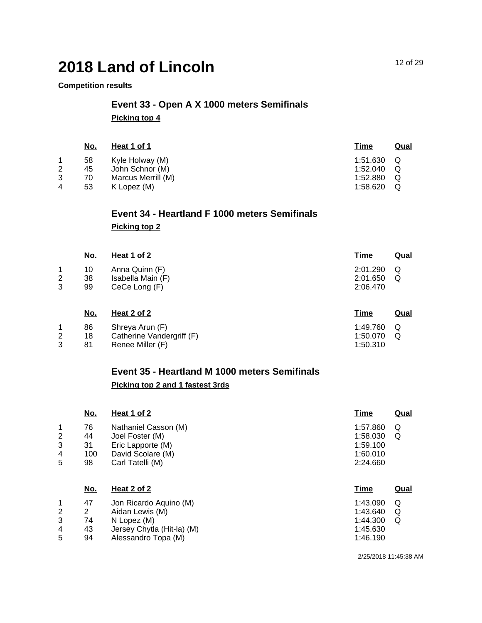#### **Competition results**

## **Event 33 - Open A X 1000 meters Semifinals Picking top 4**

|   | <u>No.</u> | Heat 1 of 1        | <u>Time</u> | Qual |
|---|------------|--------------------|-------------|------|
|   | 58         | Kyle Holway (M)    | 1:51.630    | O    |
| 2 | 45         | John Schnor (M)    | 1:52.040    | Q    |
| 3 | 70         | Marcus Merrill (M) | 1:52.880    | Q    |
| 4 | 53         | K Lopez (M)        | 1:58.620    |      |
|   |            |                    |             |      |

# **Event 34 - Heartland F 1000 meters Semifinals Picking top 2**

|        | <u>No.</u>     | Heat 1 of 2                                          | <u>Time</u>                      | <u>Qual</u> |
|--------|----------------|------------------------------------------------------|----------------------------------|-------------|
| 2<br>3 | 10<br>38<br>99 | Anna Quinn (F)<br>Isabella Main (F)<br>CeCe Long (F) | 2:01.290<br>2:01.650<br>2:06.470 | Q<br>Q      |
|        | <u>No.</u>     | <u>Heat 2 of 2</u>                                   | Time                             | Qual        |

| NO. | Heat 2 of 2               | Time       | Qua |
|-----|---------------------------|------------|-----|
| 86  | Shreya Arun (F)           | 1:49.760 Q |     |
| 18  | Catherine Vandergriff (F) | 1:50.070   | - റ |
| 81  | Renee Miller (F)          | 1:50.310   |     |

### **Event 35 - Heartland M 1000 meters Semifinals Picking top 2 and 1 fastest 3rds**

|                       | <u>No.</u>                        | Heat 1 of 2                                                                                           | <b>Time</b>                                              | <b>Qual</b> |
|-----------------------|-----------------------------------|-------------------------------------------------------------------------------------------------------|----------------------------------------------------------|-------------|
| 1<br>2<br>3<br>4<br>5 | 76<br>44<br>31<br>100<br>98       | Nathaniel Casson (M)<br>Joel Foster (M)<br>Eric Lapporte (M)<br>David Scolare (M)<br>Carl Tatelli (M) | 1:57.860<br>1:58.030<br>1:59.100<br>1:60.010<br>2:24.660 | Q<br>Q      |
|                       | No.                               | Heat 2 of 2                                                                                           | Time                                                     | Qual        |
| 1<br>2<br>3           | 47<br>$\mathbf{2}^{\prime}$<br>74 | Jon Ricardo Aquino (M)<br>Aidan Lewis (M)<br>N Lopez (M)                                              | 1:43.090<br>1:43.640<br>1:44.300                         | Q<br>Q<br>Q |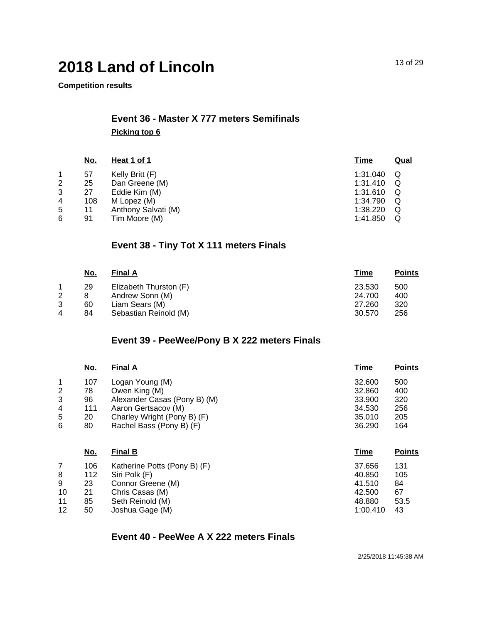**Competition results**

# **Event 36 - Master X 777 meters Semifinals Picking top 6**

|   | <u>No.</u> | Heat 1 of 1         | <u>Time</u> | <b>Qual</b> |
|---|------------|---------------------|-------------|-------------|
|   | 57         | Kelly Britt (F)     | 1:31.040    | Q           |
| 2 | 25         | Dan Greene (M)      | 1:31.410    | Q           |
| 3 | 27         | Eddie Kim (M)       | 1:31.610    | Q           |
| 4 | 108        | M Lopez (M)         | 1:34.790    | Q           |
| 5 | 11         | Anthony Salvati (M) | 1:38.220    | Q           |
| 6 | 91         | Tim Moore (M)       | 1:41.850    | Q           |
|   |            |                     |             |             |

## **Event 38 - Tiny Tot X 111 meters Finals**

|   | <u>No.</u> | <b>Final A</b>         | <b>Time</b> | <b>Points</b> |
|---|------------|------------------------|-------------|---------------|
|   | 29         | Elizabeth Thurston (F) | 23.530      | 500           |
| 2 |            | Andrew Sonn (M)        | 24.700      | 400           |
| 3 | 60         | Liam Sears (M)         | 27.260      | 320           |
| 4 | 84         | Sebastian Reinold (M)  | 30.570      | 256           |
|   |            |                        |             |               |

### **Event 39 - PeeWee/Pony B X 222 meters Finals**

|                | <u>No.</u> | <b>Final A</b>               | <b>Time</b> | <b>Points</b> |
|----------------|------------|------------------------------|-------------|---------------|
| 1              | 107        | Logan Young (M)              | 32,600      | 500           |
| $\overline{c}$ | 78         | Owen King (M)                | 32.860      | 400           |
| 3              | 96         | Alexander Casas (Pony B) (M) | 33,900      | 320           |
| 4              | 111        | Aaron Gertsacov (M)          | 34.530      | 256           |
| 5              | 20         | Charley Wright (Pony B) (F)  | 35.010      | 205           |
| 6              | 80         | Rachel Bass (Pony B) (F)     | 36.290      | 164           |
|                | No.        | <b>Final B</b>               | Time        | <b>Points</b> |
| 7              | 106        | Katherine Potts (Pony B) (F) | 37.656      | 131           |
| 8              | 112        | Siri Polk (F)                | 40.850      | 105           |
| 9              | 23         | Connor Greene (M)            | 41.510      | 84            |
| 10             | 21         | Chris Casas (M)              | 42.500      | 67            |
| 11             | 85         | Seth Reinold (M)             | 48.880      | 53.5          |
| 12             | 50         | Joshua Gage (M)              | 1:00.410    | 43            |

#### **Event 40 - PeeWee A X 222 meters Finals**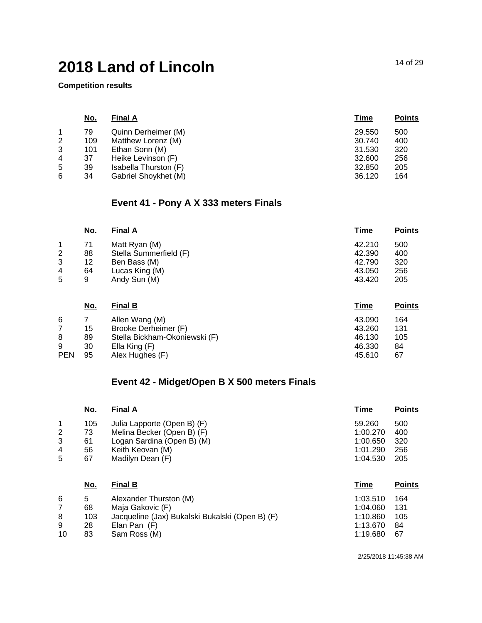**Competition results**

|   | <u>No.</u> | <b>Final A</b>        | Time   | <b>Points</b> |
|---|------------|-----------------------|--------|---------------|
|   | 79         | Quinn Derheimer (M)   | 29.550 | 500           |
| 2 | 109        | Matthew Lorenz (M)    | 30.740 | 400           |
| 3 | 101        | Ethan Sonn (M)        | 31.530 | 320           |
| 4 | 37         | Heike Levinson (F)    | 32,600 | 256           |
| 5 | 39         | Isabella Thurston (F) | 32.850 | 205           |
| 6 | 34         | Gabriel Shoykhet (M)  | 36.120 | 164           |
|   |            |                       |        |               |

### **Event 41 - Pony A X 333 meters Finals**

|   | <u>No.</u> | <b>Final A</b>         | Time   | <b>Points</b> |
|---|------------|------------------------|--------|---------------|
| 1 | 71         | Matt Ryan (M)          | 42.210 | 500           |
| 2 | 88         | Stella Summerfield (F) | 42.390 | 400           |
| 3 | 12         | Ben Bass (M)           | 42.790 | 320           |
| 4 | 64         | Lucas King (M)         | 43.050 | 256           |
| 5 | 9          | Andy Sun (M)           | 43.420 | 205           |
|   |            |                        |        |               |

|            | <u>No.</u> | <b>Final B</b>                | Time   | <b>Points</b> |
|------------|------------|-------------------------------|--------|---------------|
| 6          |            | Allen Wang (M)                | 43.090 | 164           |
|            | 15         | Brooke Derheimer (F)          | 43.260 | 131           |
| 8          | 89         | Stella Bickham-Okoniewski (F) | 46.130 | 105           |
| 9          | 30         | Ella King (F)                 | 46.330 | 84            |
| <b>PEN</b> | 95         | Alex Hughes (F)               | 45.610 | 67            |

## **Event 42 - Midget/Open B X 500 meters Finals**

|                | No. | <b>Final A</b>              | Time     | <b>Points</b> |
|----------------|-----|-----------------------------|----------|---------------|
| 1              | 105 | Julia Lapporte (Open B) (F) | 59.260   | 500           |
| $\overline{2}$ | 73  | Melina Becker (Open B) (F)  | 1:00.270 | 400           |
| 3              | 61  | Logan Sardina (Open B) (M)  | 1:00.650 | 320           |
| 4              | 56  | Keith Keovan (M)            | 1:01.290 | 256           |
| 5              | 67  | Madilyn Dean (F)            | 1:04.530 | 205           |
|                | No. | <b>Final B</b>              | Time     | <b>Points</b> |

|    | .   | .  .                                            | .        | .   |
|----|-----|-------------------------------------------------|----------|-----|
| 6  | 5   | Alexander Thurston (M)                          | 1:03.510 | 164 |
|    | 68  | Maia Gakovic (F)                                | 1:04.060 | 131 |
| 8  | 103 | Jacqueline (Jax) Bukalski Bukalski (Open B) (F) | 1:10.860 | 105 |
| 9  | 28  | Elan Pan (F)                                    | 1:13.670 | 84  |
| 10 | 83  | Sam Ross (M)                                    | 1:19.680 | 67  |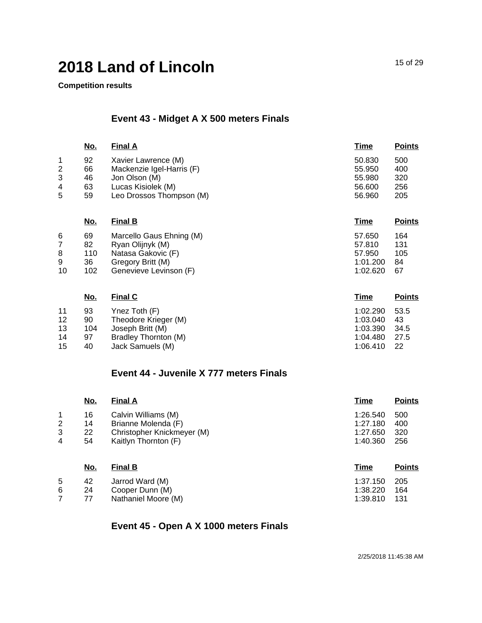**Competition results**

## **Event 43 - Midget A X 500 meters Finals**

|                | <u>No.</u> | <b>Final A</b>            | <b>Time</b> | <b>Points</b> |
|----------------|------------|---------------------------|-------------|---------------|
| 1              | 92         | Xavier Lawrence (M)       | 50.830      | 500           |
| $\overline{2}$ | 66         | Mackenzie Igel-Harris (F) | 55.950      | 400           |
| 3              | 46         | Jon Olson (M)             | 55.980      | 320           |
| 4              | 63         | Lucas Kisiolek (M)        | 56.600      | 256           |
| 5              | 59         | Leo Drossos Thompson (M)  | 56.960      | 205           |
|                | <u>No.</u> | <b>Final B</b>            | Time        | <u>Points</u> |
| 6              | 69         | Marcello Gaus Ehning (M)  | 57.650      | 164           |
| 7              | 82         | Ryan Olijnyk (M)          | 57.810      | 131           |
| 8              | 110        | Natasa Gakovic (F)        | 57.950      | 105           |
| 9              | 36         | Gregory Britt (M)         | 1:01.200    | 84            |
| 10             | 102        | Genevieve Levinson (F)    | 1:02.620    | 67            |
|                | <u>No.</u> | <b>Final C</b>            | <u>Time</u> | <b>Points</b> |
| 11             | 93         | Ynez Toth (F)             | 1:02.290    | 53.5          |
| 12             | 90         | Theodore Krieger (M)      | 1:03.040    | 43            |
| 13             | 104        | Joseph Britt (M)          | 1:03.390    | 34.5          |
| 14             | 97         | Bradley Thornton (M)      | 1:04.480    | 27.5          |

15 40 Jack Samuels (M)

## **Event 44 - Juvenile X 777 meters Finals**

|                | No.        | <b>Final A</b>             | <b>Time</b> | <b>Points</b> |
|----------------|------------|----------------------------|-------------|---------------|
| 1              | 16         | Calvin Williams (M)        | 1:26.540    | 500           |
| $\overline{2}$ | 14         | Brianne Molenda (F)        | 1:27.180    | 400           |
| 3              | 22         | Christopher Knickmeyer (M) | 1:27.650    | 320           |
| 4              | 54         | Kaitlyn Thornton (F)       | 1:40.360    | 256           |
|                | <u>No.</u> | <b>Final B</b>             | Time        | <b>Points</b> |
| 5              | 42         | Jarrod Ward (M)            | 1:37.150    | 205           |
| 6              | 24         | Cooper Dunn (M)            | 1:38.220    | 164           |

7 77 Nathaniel Moore (M)

## **Event 45 - Open A X 1000 meters Finals**

2/25/2018 11:45:38 AM

1:39.810 131

1:06.410 22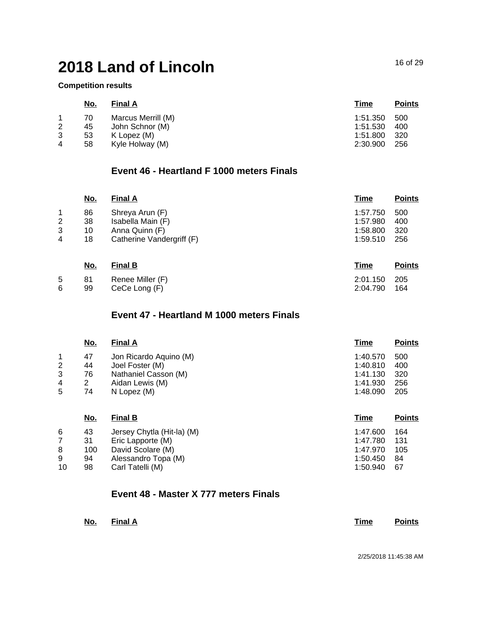**Competition results**

|                | <u>No.</u> | <b>Final A</b>     | Time     | <b>Points</b> |
|----------------|------------|--------------------|----------|---------------|
|                | 70         | Marcus Merrill (M) | 1:51.350 | 500           |
| 2              | 45         | John Schnor (M)    | 1:51.530 | 400           |
| 3              | 53         | K Lopez (M)        | 1:51.800 | -320          |
| $\overline{4}$ | 58         | Kyle Holway (M)    | 2:30.900 | 256           |

## **Event 46 - Heartland F 1000 meters Finals**

|                     | <u>No.</u> | <b>Final A</b>                      | <b>Time</b>          | <b>Points</b> |
|---------------------|------------|-------------------------------------|----------------------|---------------|
| 1                   | 86         | Shreya Arun (F)                     | 1:57.750             | 500           |
| $\overline{c}$<br>3 | 38<br>10   | Isabella Main (F)<br>Anna Quinn (F) | 1:57.980<br>1:58.800 | 400<br>320    |
| 4                   | 18         | Catherine Vandergriff (F)           | 1:59.510             | 256           |
|                     | <u>No.</u> | <b>Final B</b>                      | Time                 | <b>Points</b> |
| 5<br>6              | 81<br>99   | Renee Miller (F)<br>CeCe Long (F)   | 2:01.150<br>2:04.790 | 205<br>164    |

### **Event 47 - Heartland M 1000 meters Finals**

|                | <u>No.</u> | <b>Final A</b>         | Time     | <b>Points</b> |
|----------------|------------|------------------------|----------|---------------|
|                | 47         | Jon Ricardo Aquino (M) | 1:40.570 | 500           |
| $\overline{2}$ | 44         | Joel Foster (M)        | 1:40.810 | 400           |
| 3              | 76         | Nathaniel Casson (M)   | 1:41.130 | 320           |
| 4              | 2          | Aidan Lewis (M)        | 1:41.930 | 256           |
| 5              | 74         | N Lopez (M)            | 1:48.090 | 205           |
|                |            |                        |          |               |

| <u>No.</u> | <b>Final B</b>             | <b>Time</b> | <b>Points</b> |
|------------|----------------------------|-------------|---------------|
| 43         | Jersey Chytla (Hit-la) (M) | 1:47.600    | 164           |
| 31         | Eric Lapporte (M)          | 1:47.780    | 131           |
| 100        | David Scolare (M)          | 1:47.970    | 105           |
| 94         | Alessandro Topa (M)        | 1:50.450    | 84            |
| 98         | Carl Tatelli (M)           | 1:50.940    | 67            |
|            |                            |             |               |

### **Event 48 - Master X 777 meters Finals**

| <u>No.</u> | Final A |  | Time | <b>Points</b> |
|------------|---------|--|------|---------------|
|            |         |  |      |               |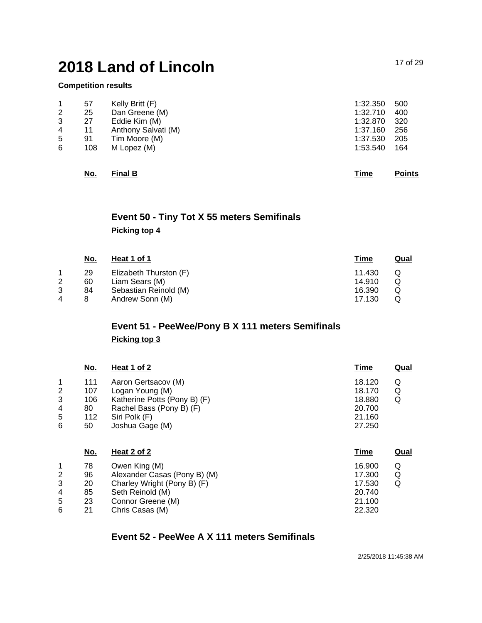#### **Competition results**

|                | 57  | Kelly Britt (F)     | 1:32.350 | 500 |
|----------------|-----|---------------------|----------|-----|
| $\overline{2}$ | 25  | Dan Greene (M)      | 1:32.710 | 400 |
| 3              | 27  | Eddie Kim (M)       | 1:32.870 | 320 |
| 4              | 11  | Anthony Salvati (M) | 1:37.160 | 256 |
| 5              | 91  | Tim Moore (M)       | 1:37.530 | 205 |
| 6              | 108 | M Lopez (M)         | 1:53.540 | 164 |
|                |     |                     |          |     |

| No. | <b>Final B</b> |  |  | Time | <b>Points</b> |
|-----|----------------|--|--|------|---------------|
|     |                |  |  |      |               |

## **Event 50 - Tiny Tot X 55 meters Semifinals Picking top 4**

|   | <u>No.</u> | Heat 1 of 1            | <u>Time</u> | <u>Qual</u> |
|---|------------|------------------------|-------------|-------------|
|   | 29         | Elizabeth Thurston (F) | 11.430      | Ő           |
| 2 | 60         | Liam Sears (M)         | 14.910      | Q           |
|   | 84         | Sebastian Reinold (M)  | 16.390      | Q           |
| 4 |            | Andrew Sonn (M)        | 17.130      |             |

# **Event 51 - PeeWee/Pony B X 111 meters Semifinals**

#### **Picking top 3**

|                | <u>No.</u> | Heat 1 of 2                  | <u>Time</u> | <u>Qual</u> |
|----------------|------------|------------------------------|-------------|-------------|
| 1              | 111        | Aaron Gertsacov (M)          | 18.120      | Q           |
| 2              | 107        | Logan Young (M)              | 18.170      | Q           |
| 3              | 106        | Katherine Potts (Pony B) (F) | 18.880      | Q           |
| 4              | 80         | Rachel Bass (Pony B) (F)     | 20.700      |             |
| 5              | 112        | Siri Polk (F)                | 21.160      |             |
| 6              | 50         | Joshua Gage (M)              | 27.250      |             |
|                | No.        | Heat 2 of 2                  | Time        | <u>Qual</u> |
| 1              | 78         | Owen King (M)                | 16.900      | Q           |
| $\overline{2}$ | 96         | Alexander Casas (Pony B) (M) | 17.300      | Q           |
| 3              | 20         | Charley Wright (Pony B) (F)  | 17.530      | Q           |

4 85 Seth Reinold (M)

5 23 Connor Greene (M)

6 21 Chris Casas (M)

## **Event 52 - PeeWee A X 111 meters Semifinals**

20.740 21.100 22.320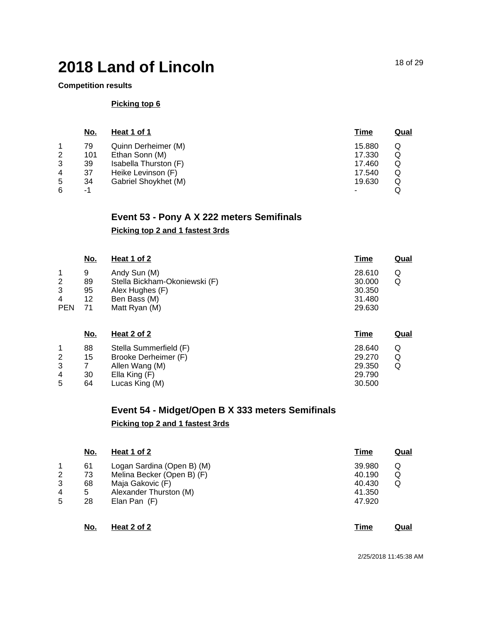#### **Competition results**

#### **Picking top 6**

|   | <u>No.</u> | Heat 1 of 1           | <u>Time</u> | <u>Qual</u> |
|---|------------|-----------------------|-------------|-------------|
|   | 79         | Quinn Derheimer (M)   | 15.880      | Q           |
| 2 | 101        | Ethan Sonn (M)        | 17.330      | Q           |
| 3 | 39         | Isabella Thurston (F) | 17.460      | Q           |
| 4 | 37         | Heike Levinson (F)    | 17.540      | Q           |
| 5 | 34         | Gabriel Shoykhet (M)  | 19.630      | Q           |
| 6 | -1         |                       |             |             |

### **Event 53 - Pony A X 222 meters Semifinals**

#### **Picking top 2 and 1 fastest 3rds**

|                | <u>No.</u> | Heat 1 of 2                   | <u>Time</u> | <u>Qual</u> |
|----------------|------------|-------------------------------|-------------|-------------|
| $\mathbf 1$    | 9          | Andy Sun (M)                  | 28.610      | Q           |
| $\overline{2}$ | 89         | Stella Bickham-Okoniewski (F) | 30.000      | Q           |
| 3              | 95         | Alex Hughes (F)               | 30.350      |             |
| 4              | 12         | Ben Bass (M)                  | 31.480      |             |
| <b>PEN</b>     | 71         | Matt Ryan (M)                 | 29.630      |             |
|                | <u>No.</u> | <u>Heat 2 of 2</u>            | <u>Time</u> | Qual        |

|   | 88 | Stella Summerfield (F) | 28.640 |   |
|---|----|------------------------|--------|---|
| 2 | 15 | Brooke Derheimer (F)   | 29.270 | Q |
| 3 |    | Allen Wang (M)         | 29.350 |   |
| 4 | 30 | Ella King (F)          | 29.790 |   |
| 5 | 64 | Lucas King (M)         | 30.500 |   |

### **Event 54 - Midget/Open B X 333 meters Semifinals Picking top 2 and 1 fastest 3rds**

|   | No. | Heat 1 of 2                | <b>Time</b> | <u>Qual</u> |
|---|-----|----------------------------|-------------|-------------|
|   | 61  | Logan Sardina (Open B) (M) | 39.980      | Q           |
| 2 | 73  | Melina Becker (Open B) (F) | 40.190      | Q           |
| 3 | 68  | Maja Gakovic (F)           | 40.430      | Q           |
| 4 | 5   | Alexander Thurston (M)     | 41.350      |             |
| 5 | 28  | Elan Pan (F)               | 47.920      |             |
|   | No. | Heat 2 of 2                | Time        | Qual        |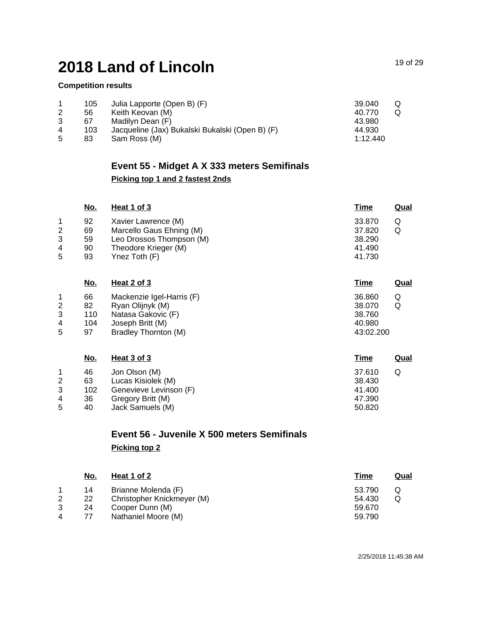#### **Competition results**

|   | 105 | Julia Lapporte (Open B) (F)                     | 39.040   | Q |
|---|-----|-------------------------------------------------|----------|---|
|   | 56  | Keith Keovan (M)                                | 40.770   | O |
|   | 67  | Madilyn Dean (F)                                | 43.980   |   |
| 4 | 103 | Jacqueline (Jax) Bukalski Bukalski (Open B) (F) | 44.930   |   |
| 5 | 83  | Sam Ross (M)                                    | 1:12.440 |   |

# **Event 55 - Midget A X 333 meters Semifinals Picking top 1 and 2 fastest 2nds**

|   | <u>No.</u> | Heat 1 of 3              | <u>Time</u> | Qual |
|---|------------|--------------------------|-------------|------|
|   | 92         | Xavier Lawrence (M)      | 33,870      |      |
| 2 | 69         | Marcello Gaus Ehning (M) | 37.820      |      |
| 3 | 59         | Leo Drossos Thompson (M) | 38.290      |      |
| 4 | 90         | Theodore Krieger (M)     | 41.490      |      |
| 5 | 93         | Ynez Toth $(F)$          | 41.730      |      |

| <u>No.</u> | <b>Heat 2 of 3</b>        | <u>Time</u><br>Qual |
|------------|---------------------------|---------------------|
| 66         | Mackenzie Igel-Harris (F) | 36.860<br>Q         |
| 82         | Ryan Olijnyk (M)          | Q<br>38,070         |
| 110        | Natasa Gakovic (F)        | 38.760              |
| 104        | Joseph Britt (M)          | 40.980              |
| 97         | Bradley Thornton (M)      | 43:02.200           |
|            |                           |                     |

|   | <u>No.</u> | Heat 3 of 3            | <u>Time</u> | Qual |
|---|------------|------------------------|-------------|------|
|   | 46         | Jon Olson (M)          | 37.610      |      |
| 2 | 63         | Lucas Kisiolek (M)     | 38.430      |      |
| 3 | 102        | Genevieve Levinson (F) | 41.400      |      |
| 4 | 36         | Gregory Britt (M)      | 47.390      |      |
| 5 | 40         | Jack Samuels (M)       | 50.820      |      |

# **Event 56 - Juvenile X 500 meters Semifinals Picking top 2**

|   | No. | <u>Heat 1 of 2</u>         | Time   | <u>Qual</u> |
|---|-----|----------------------------|--------|-------------|
|   | 14  | Brianne Molenda (F)        | 53.790 |             |
| 2 | 22  | Christopher Knickmeyer (M) | 54.430 |             |
| 3 | 24  | Cooper Dunn (M)            | 59.670 |             |
|   | 77  | Nathaniel Moore (M)        | 59.790 |             |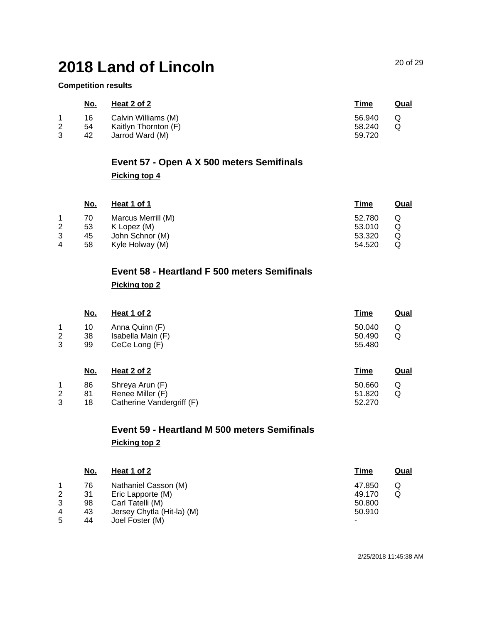**Competition results**

|                       | No. | Heat 2 of 2          | Time   | Qual |
|-----------------------|-----|----------------------|--------|------|
|                       | 16  | Calvin Williams (M)  | 56.940 | O    |
| $\mathbf{2}^{\prime}$ | 54  | Kaitlyn Thornton (F) | 58.240 |      |
|                       | 42  | Jarrod Ward (M)      | 59.720 |      |

# **Event 57 - Open A X 500 meters Semifinals Picking top 4**

|   | No. | Heat 1 of 1        | <b>Time</b> | Qual |
|---|-----|--------------------|-------------|------|
|   | 70  | Marcus Merrill (M) | 52.780      |      |
| 2 | 53  | K Lopez (M)        | 53.010      |      |
| 3 | 45  | John Schnor (M)    | 53.320      |      |
| 4 | 58  | Kyle Holway (M)    | 54.520      |      |

# **Event 58 - Heartland F 500 meters Semifinals Picking top 2**

|                     | <u>No.</u> | <u>Heat 1 of 2</u>                 | <u>Time</u>      | <u>Qual</u> |
|---------------------|------------|------------------------------------|------------------|-------------|
| 1                   | 10         | Anna Quinn (F)                     | 50.040           | Q           |
| $\overline{2}$<br>3 | 38<br>99   | Isabella Main (F)<br>CeCe Long (F) | 50.490<br>55.480 | Q           |
|                     |            |                                    |                  |             |
|                     | <u>No.</u> | Heat 2 of 2                        | <u>Time</u>      | Qual        |
| $\mathbf{1}$        | 86         | Shreya Arun (F)                    | 50.660           | Q           |
| $\overline{2}$      | 81         | Renee Miller (F)                   | 51.820           | Q           |
| 3                   | 18         | Catherine Vandergriff (F)          | 52,270           |             |

# **Event 59 - Heartland M 500 meters Semifinals Picking top 2**

|   | No. | Heat 1 of 2                | Time   | <u>Qual</u> |
|---|-----|----------------------------|--------|-------------|
|   | 76  | Nathaniel Casson (M)       | 47.850 |             |
| 2 | 31  | Eric Lapporte (M)          | 49.170 |             |
| 3 | 98  | Carl Tatelli (M)           | 50.800 |             |
| 4 | 43  | Jersey Chytla (Hit-la) (M) | 50.910 |             |
| 5 | 44  | Joel Foster (M)            | ٠      |             |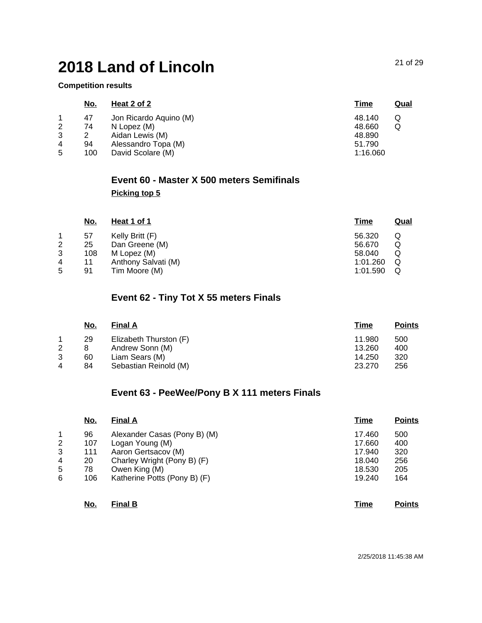**Competition results**

|   | <u>No.</u> | Heat 2 of 2            | <u>Time</u> | <u>Qual</u> |
|---|------------|------------------------|-------------|-------------|
|   | 47         | Jon Ricardo Aquino (M) | 48.140      |             |
| 2 | 74         | N Lopez (M)            | 48.660<br>Q |             |
| 3 |            | Aidan Lewis (M)        | 48.890      |             |
| 4 | 94         | Alessandro Topa (M)    | 51.790      |             |
| 5 | 100        | David Scolare (M)      | 1:16.060    |             |

### **Event 60 - Master X 500 meters Semifinals Picking top 5**

|                | <u>No.</u> | Heat 1 of 1         | <u>Time</u> | <u>Qual</u> |
|----------------|------------|---------------------|-------------|-------------|
|                | 57         | Kelly Britt (F)     | 56.320      | Q           |
| $\overline{2}$ | 25         | Dan Greene (M)      | 56.670      | Q           |
| 3              | 108        | M Lopez (M)         | 58.040      | Q           |
| 4              | 11         | Anthony Salvati (M) | 1:01.260    | Q           |
| 5              | 91         | Tim Moore (M)       | 1:01.590    | Q           |

### **Event 62 - Tiny Tot X 55 meters Finals**

|   | No. | <b>Final A</b>         | Time   | <b>Points</b> |
|---|-----|------------------------|--------|---------------|
|   | 29  | Elizabeth Thurston (F) | 11.980 | 500           |
| 2 |     | Andrew Sonn (M)        | 13.260 | 400           |
| 3 | 60  | Liam Sears (M)         | 14.250 | 320           |
| 4 | 84  | Sebastian Reinold (M)  | 23.270 | 256           |

## **Event 63 - PeeWee/Pony B X 111 meters Finals**

|   | No. | <b>Final A</b>               | <b>Time</b> | <b>Points</b> |
|---|-----|------------------------------|-------------|---------------|
| 1 | 96  | Alexander Casas (Pony B) (M) | 17.460      | 500           |
| 2 | 107 | Logan Young (M)              | 17.660      | 400           |
| 3 | 111 | Aaron Gertsacov (M)          | 17.940      | 320           |
| 4 | 20  | Charley Wright (Pony B) (F)  | 18.040      | 256           |
| 5 | 78  | Owen King (M)                | 18.530      | 205           |
| 6 | 106 | Katherine Potts (Pony B) (F) | 19.240      | 164           |
|   | No. | <b>Final B</b>               | Time        | <b>Points</b> |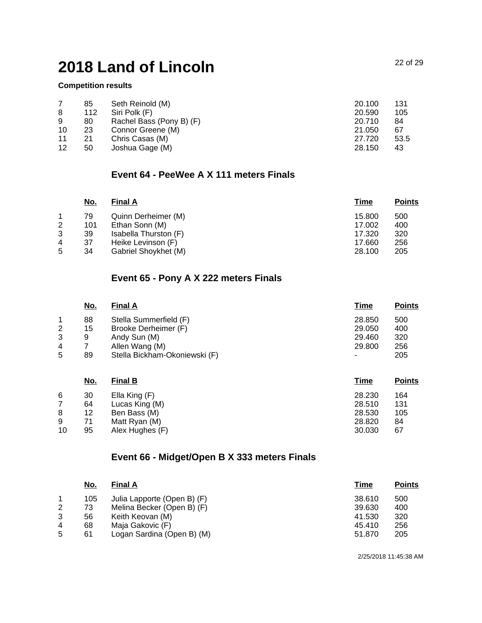#### **Competition results**

|    | 85  | Seth Reinold (M)         | 20.100 | 131  |
|----|-----|--------------------------|--------|------|
| 8  | 112 | Siri Polk (F)            | 20.590 | 105  |
| 9  | 80  | Rachel Bass (Pony B) (F) | 20.710 | 84   |
| 10 | 23  | Connor Greene (M)        | 21.050 | 67   |
| 11 | 21  | Chris Casas (M)          | 27.720 | 53.5 |
| 12 | 50  | Joshua Gage (M)          | 28.150 | 43   |

### **Event 64 - PeeWee A X 111 meters Finals**

| <u>No.</u> | <b>Final A</b>        | Time   | <b>Points</b> |
|------------|-----------------------|--------|---------------|
| 79         | Quinn Derheimer (M)   | 15.800 | 500           |
| 101        | Ethan Sonn (M)        | 17.002 | 400           |
| 39         | Isabella Thurston (F) | 17.320 | 320           |
| 37         | Heike Levinson (F)    | 17.660 | 256           |
| 34         | Gabriel Shoykhet (M)  | 28.100 | 205           |
|            |                       |        |               |

### **Event 65 - Pony A X 222 meters Finals**

|   | No. | <b>Final A</b>                | <u>Time</u> | <b>Points</b> |
|---|-----|-------------------------------|-------------|---------------|
|   | 88  | Stella Summerfield (F)        | 28.850      | 500           |
| 2 | 15  | Brooke Derheimer (F)          | 29.050      | 400           |
| 3 | 9   | Andy Sun (M)                  | 29.460      | 320           |
| 4 |     | Allen Wang (M)                | 29,800      | 256           |
| 5 | 89  | Stella Bickham-Okoniewski (F) |             | 205           |

|    | <u>No.</u> | <b>Final B</b>  | Time   | <b>Points</b> |
|----|------------|-----------------|--------|---------------|
| 6  | 30         | Ella King (F)   | 28.230 | 164           |
|    | 64         | Lucas King (M)  | 28.510 | 131           |
| 8  | 12         | Ben Bass (M)    | 28.530 | 105           |
| 9  | 71         | Matt Ryan (M)   | 28,820 | 84            |
| 10 | 95         | Alex Hughes (F) | 30.030 | 67            |

## **Event 66 - Midget/Open B X 333 meters Finals**

|   | No. | <b>Final A</b>              | Time   | <b>Points</b> |
|---|-----|-----------------------------|--------|---------------|
| 1 | 105 | Julia Lapporte (Open B) (F) | 38.610 | 500           |
| 2 | 73  | Melina Becker (Open B) (F)  | 39.630 | 400           |
| 3 | 56  | Keith Keovan (M)            | 41.530 | 320           |
| 4 | 68  | Maja Gakovic (F)            | 45.410 | 256           |
| 5 | 61  | Logan Sardina (Open B) (M)  | 51.870 | 205           |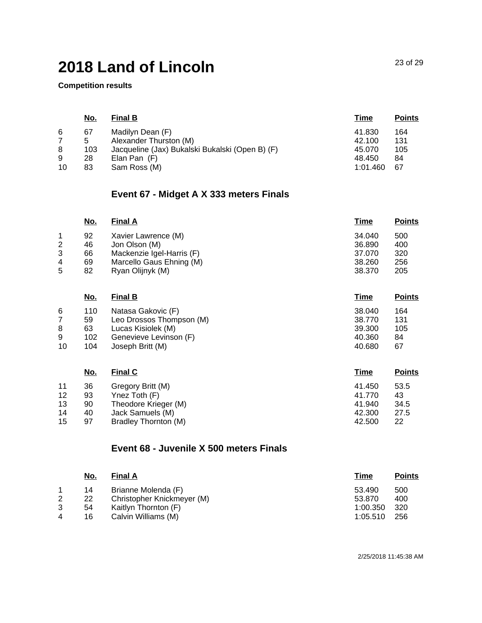**Competition results**

|    | No. | <b>Final B</b>                                  | Time     | <b>Points</b> |
|----|-----|-------------------------------------------------|----------|---------------|
| 6  | 67  | Madilyn Dean (F)                                | 41.830   | 164           |
|    | 5   | Alexander Thurston (M)                          | 42.100   | 131           |
| 8  | 103 | Jacqueline (Jax) Bukalski Bukalski (Open B) (F) | 45.070   | 105           |
| 9  | 28  | Elan Pan (F)                                    | 48.450   | 84            |
| 10 | 83  | Sam Ross (M)                                    | 1:01.460 | -67           |

## **Event 67 - Midget A X 333 meters Finals**

| <u>No.</u> | <b>Final A</b>            | Time   | <b>Points</b> |
|------------|---------------------------|--------|---------------|
| 92         | Xavier Lawrence (M)       | 34.040 | 500           |
| 46         | Jon Olson (M)             | 36,890 | 400           |
| 66         | Mackenzie Igel-Harris (F) | 37.070 | 320           |
| 69         | Marcello Gaus Ehning (M)  | 38.260 | 256           |
| 82         | Ryan Olijnyk (M)          | 38,370 | 205           |
|            |                           |        |               |

|    | <u>No.</u> | <b>Final B</b>           | <u>Time</u> | <b>Points</b> |
|----|------------|--------------------------|-------------|---------------|
| 6  | 110        | Natasa Gakovic (F)       | 38.040      | 164           |
|    | 59         | Leo Drossos Thompson (M) | 38.770      | 131           |
| 8  | 63         | Lucas Kisiolek (M)       | 39,300      | 105           |
| 9  | 102        | Genevieve Levinson (F)   | 40.360      | 84            |
| 10 | 104        | Joseph Britt (M)         | 40.680      | 67            |

|    | <u>No.</u> | <b>Final C</b>       | <b>Time</b> | <u>Points</u> |
|----|------------|----------------------|-------------|---------------|
| 11 | 36         | Gregory Britt (M)    | 41.450      | 53.5          |
| 12 | 93         | Ynez Toth (F)        | 41.770      | 43            |
| 13 | 90         | Theodore Krieger (M) | 41.940      | 34.5          |
| 14 | 40         | Jack Samuels (M)     | 42.300      | 27.5          |
| 15 | 97         | Bradley Thornton (M) | 42.500      | 22            |

### **Event 68 - Juvenile X 500 meters Finals**

| No. | <b>Final A</b>             | Time     | <b>Points</b> |
|-----|----------------------------|----------|---------------|
| 14  | Brianne Molenda (F)        | 53.490   | 500           |
| 22  | Christopher Knickmeyer (M) | 53.870   | 400           |
| 54  | Kaitlyn Thornton (F)       | 1:00.350 | 320           |
| 16  | Calvin Williams (M)        | 1:05.510 | 256           |
|     |                            |          |               |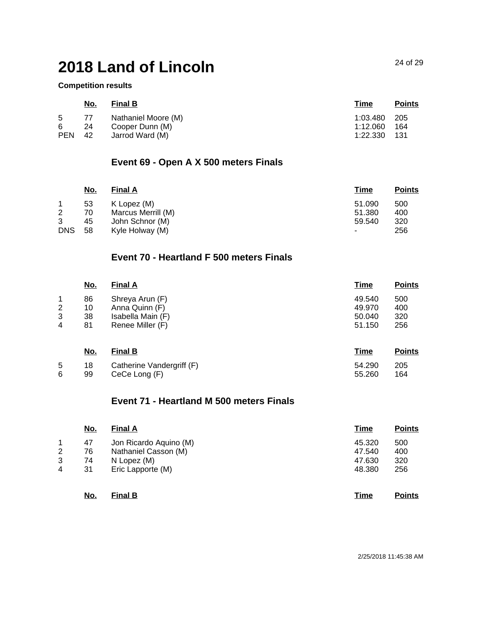#### **Competition results**

|            | <u>No.</u> | <b>Final B</b>      | <u>Time</u>  | <b>Points</b> |
|------------|------------|---------------------|--------------|---------------|
| 5          | 77         | Nathaniel Moore (M) | 1:03.480 205 |               |
| 6          | -24        | Cooper Dunn (M)     | 1:12.060 164 |               |
| <b>PEN</b> | -42        | Jarrod Ward (M)     | 1:22.330 131 |               |

## **Event 69 - Open A X 500 meters Finals**

|            | <u>No.</u> | <b>Final A</b>     | <u>Time</u>              | <b>Points</b> |
|------------|------------|--------------------|--------------------------|---------------|
|            | 53         | K Lopez (M)        | 51.090                   | 500           |
| 2          | 70         | Marcus Merrill (M) | 51.380                   | 400           |
| 3          | 45         | John Schnor (M)    | 59.540                   | 320           |
| <b>DNS</b> | 58         | Kyle Holway (M)    | $\overline{\phantom{0}}$ | 256           |

# **Event 70 - Heartland F 500 meters Finals**

|   | No. | <b>Final A</b>    | <u>Time</u> | <b>Points</b> |
|---|-----|-------------------|-------------|---------------|
|   | 86  | Shreya Arun (F)   | 49.540      | 500           |
| 2 | 10  | Anna Quinn (F)    | 49.970      | 400           |
| 3 | 38  | Isabella Main (F) | 50.040      | 320           |
| 4 | 81  | Renee Miller (F)  | 51.150      | 256           |

|   | <u>No.</u> | <b>Final B</b>               | <u>Time</u> | <b>Points</b> |
|---|------------|------------------------------|-------------|---------------|
| 5 |            | 18 Catherine Vandergriff (F) | 54.290      | 205           |
| 6 | 99         | CeCe Long (F)                | 55.260      | 164           |

### **Event 71 - Heartland M 500 meters Finals**

|   | <u>No.</u> | <b>Final A</b>         | <b>Time</b> | <b>Points</b> |
|---|------------|------------------------|-------------|---------------|
| 1 | 47         | Jon Ricardo Aquino (M) | 45.320      | 500           |
| 2 | 76         | Nathaniel Casson (M)   | 47.540      | 400           |
| 3 | 74         | N Lopez (M)            | 47.630      | 320           |
| 4 | 31         | Eric Lapporte (M)      | 48.380      | 256           |
|   |            |                        |             |               |

| No.<br>$\sim$ | <b>Final B</b> |  |  | Time | <b>Points</b> |
|---------------|----------------|--|--|------|---------------|
|---------------|----------------|--|--|------|---------------|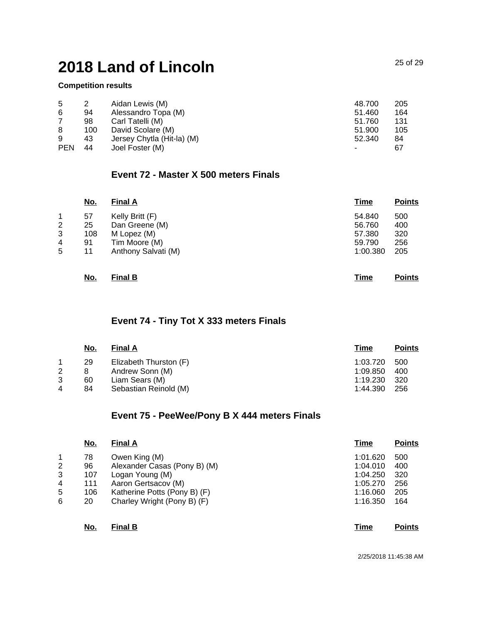#### **Competition results**

| 5          |     | Aidan Lewis (M)            | 48.700 | 205 |
|------------|-----|----------------------------|--------|-----|
| 6          | 94  | Alessandro Topa (M)        | 51.460 | 164 |
|            | 98  | Carl Tatelli (M)           | 51.760 | 131 |
| 8          | 100 | David Scolare (M)          | 51.900 | 105 |
| 9          | 43  | Jersey Chytla (Hit-la) (M) | 52.340 | 84  |
| <b>PEN</b> | 44  | Joel Foster (M)            |        | 67  |

### **Event 72 - Master X 500 meters Finals**

|   | <u>No.</u> | <b>Final A</b>      | <u>Time</u> | <b>Points</b> |
|---|------------|---------------------|-------------|---------------|
|   | 57         | Kelly Britt (F)     | 54.840      | 500           |
| 2 | 25         | Dan Greene (M)      | 56.760      | 400           |
| 3 | 108        | M Lopez (M)         | 57.380      | 320           |
| 4 | 91         | Tim Moore (M)       | 59.790      | 256           |
| 5 | 11         | Anthony Salvati (M) | 1:00.380    | 205           |
|   |            |                     |             |               |
|   |            |                     |             |               |

| <u>No.</u> | <b>Final B</b> | Гіmе | <b>Points</b> |
|------------|----------------|------|---------------|
|------------|----------------|------|---------------|

### **Event 74 - Tiny Tot X 333 meters Finals**

| No. | <b>Final A</b>         | Time     | <b>Points</b> |
|-----|------------------------|----------|---------------|
| 29  | Elizabeth Thurston (F) | 1:03.720 | 500           |
| 8   | Andrew Sonn (M)        | 1:09.850 | 400           |
| 60  | Liam Sears (M)         | 1:19.230 | -320          |
| 84  | Sebastian Reinold (M)  | 1:44.390 | 256           |
|     |                        |          |               |

### **Event 75 - PeeWee/Pony B X 444 meters Finals**

|   | <u>No.</u> | <b>Final A</b>               | Time     | <b>Points</b> |
|---|------------|------------------------------|----------|---------------|
|   | 78         | Owen King (M)                | 1:01.620 | 500           |
| 2 | 96         | Alexander Casas (Pony B) (M) | 1:04.010 | 400           |
| 3 | 107        | Logan Young (M)              | 1:04.250 | 320           |
| 4 | 111        | Aaron Gertsacov (M)          | 1:05.270 | 256           |
| 5 | 106        | Katherine Potts (Pony B) (F) | 1:16.060 | 205           |
| 6 | 20         | Charley Wright (Pony B) (F)  | 1:16.350 | 164           |
|   |            |                              |          |               |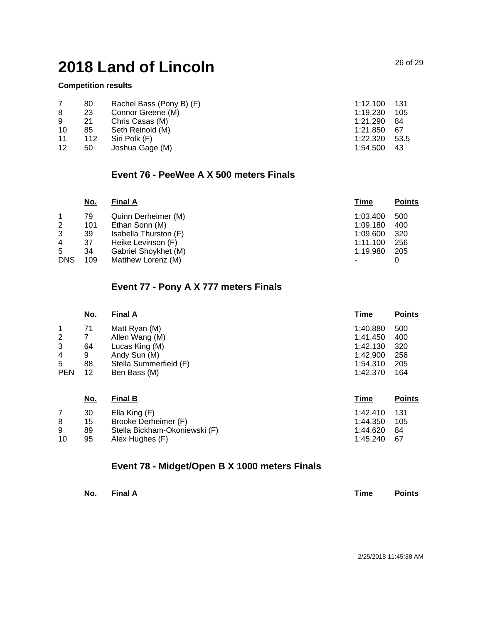#### **Competition results**

|    | 80  | Rachel Bass (Pony B) (F) | 1:12.100 | -131 |
|----|-----|--------------------------|----------|------|
| 8  | 23  | Connor Greene (M)        | 1:19.230 | 105  |
| 9  | 21  | Chris Casas (M)          | 1:21.290 | -84  |
| 10 | 85  | Seth Reinold (M)         | 1:21.850 | -67  |
| 11 | 112 | Siri Polk (F)            | 1:22.320 | 53.5 |
| 12 | 50  | Joshua Gage (M)          | 1:54.500 | 43   |

### **Event 76 - PeeWee A X 500 meters Finals**

|            | <u>No.</u> | <b>Final A</b>        | <b>Time</b> | <b>Points</b> |
|------------|------------|-----------------------|-------------|---------------|
|            | 79         | Quinn Derheimer (M)   | 1:03.400    | 500           |
| 2          | 101        | Ethan Sonn (M)        | 1:09.180    | 400           |
| 3          | 39         | Isabella Thurston (F) | 1:09.600    | 320           |
| 4          | 37         | Heike Levinson (F)    | 1:11.100    | 256           |
| 5          | 34         | Gabriel Shoykhet (M)  | 1:19.980    | 205           |
| <b>DNS</b> | 109        | Matthew Lorenz (M)    |             |               |

## **Event 77 - Pony A X 777 meters Finals**

| <u>No.</u> | <b>Final A</b>         | Time     | <b>Points</b> |
|------------|------------------------|----------|---------------|
| 71         | Matt Ryan (M)          | 1:40.880 | 500           |
|            | Allen Wang (M)         | 1:41.450 | 400           |
| 64         | Lucas King (M)         | 1:42.130 | 320           |
| 9          | Andy Sun (M)           | 1:42.900 | 256           |
| 88         | Stella Summerfield (F) | 1:54.310 | 205           |
| 12         | Ben Bass (M)           | 1:42.370 | 164           |
|            |                        |          |               |

|    | <u>No.</u> | <b>Final B</b>                | <b>Time</b>  | <b>Points</b> |
|----|------------|-------------------------------|--------------|---------------|
|    | 30         | Ella King (F)                 | 1:42.410 131 |               |
| 8  | 15         | Brooke Derheimer (F)          | 1:44.350     | 105           |
| 9  | 89         | Stella Bickham-Okoniewski (F) | 1:44.620     | 84            |
| 10 | 95         | Alex Hughes (F)               | 1:45.240     | -67           |

### **Event 78 - Midget/Open B X 1000 meters Finals**

| No.<br>$\sim$ | <b>Final A</b> |  |  | Time | <b>Points</b> |
|---------------|----------------|--|--|------|---------------|
|---------------|----------------|--|--|------|---------------|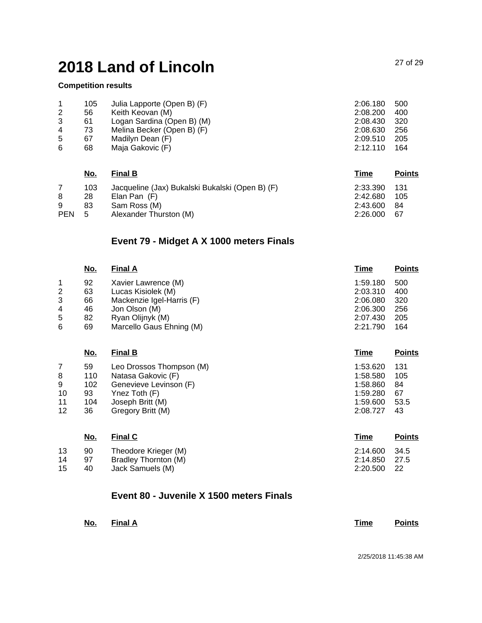#### **Competition results**

|   | 105 | Julia Lapporte (Open B) (F) | 2:06.180 | 500  |
|---|-----|-----------------------------|----------|------|
| 2 | 56  | Keith Keovan (M)            | 2:08.200 | 400  |
| 3 | 61  | Logan Sardina (Open B) (M)  | 2:08.430 | -320 |
| 4 | 73  | Melina Becker (Open B) (F)  | 2:08.630 | -256 |
| 5 | 67  | Madilyn Dean (F)            | 2:09.510 | 205  |
| 6 | 68  | Maja Gakovic (F)            | 2:12.110 | 164  |

|            | <u>No.</u> | <b>Final B</b>                                  | Time         | <b>Points</b> |
|------------|------------|-------------------------------------------------|--------------|---------------|
|            | 103        | Jacqueline (Jax) Bukalski Bukalski (Open B) (F) | 2:33.390 131 |               |
|            | 28         | Elan Pan (F)                                    | 2:42.680     | 105           |
| 9          | 83         | Sam Ross (M)                                    | 2:43.600     | -84           |
| <b>PEN</b> | -5         | Alexander Thurston (M)                          | 2:26.000     | -67           |

# **Event 79 - Midget A X 1000 meters Finals**

|                | <u>No.</u> | <b>Final A</b>            | <u>Time</u> | <b>Points</b> |
|----------------|------------|---------------------------|-------------|---------------|
|                | 92         | Xavier Lawrence (M)       | 1:59.180    | 500           |
| $\overline{2}$ | 63         | Lucas Kisiolek (M)        | 2:03.310    | 400           |
| 3              | 66         | Mackenzie Igel-Harris (F) | 2:06.080    | 320           |
| 4              | 46         | Jon Olson (M)             | 2:06.300    | 256           |
| 5              | 82         | Ryan Olijnyk (M)          | 2:07.430    | 205           |
| 6              | 69         | Marcello Gaus Ehning (M)  | 2:21.790    | 164           |

|    | <u>No.</u> | <b>Final B</b>           | <b>Time</b> | <b>Points</b> |
|----|------------|--------------------------|-------------|---------------|
|    | 59         | Leo Drossos Thompson (M) | 1:53.620    | 131           |
| 8  | 110        | Natasa Gakovic (F)       | 1:58.580    | 105           |
| 9  | 102        | Genevieve Levinson (F)   | 1:58.860    | 84            |
| 10 | 93         | Ynez Toth (F)            | 1:59.280    | 67            |
| 11 | 104        | Joseph Britt (M)         | 1:59.600    | 53.5          |
| 12 | 36         | Gregory Britt (M)        | 2:08.727    | 43            |
|    |            |                          |             |               |

|    | <u>No.</u> | <b>Final C</b>       | Time          | <b>Points</b> |
|----|------------|----------------------|---------------|---------------|
| 13 | 90         | Theodore Krieger (M) | 2:14.600      | - 34.5        |
| 14 | 97         | Bradley Thornton (M) | 2:14.850 27.5 |               |
| 15 | 40         | Jack Samuels (M)     | 2:20.500      | - 22          |

### **Event 80 - Juvenile X 1500 meters Finals**

| No. | <b>Final A</b> |  | Time | <b>Points</b> |
|-----|----------------|--|------|---------------|
|     |                |  |      |               |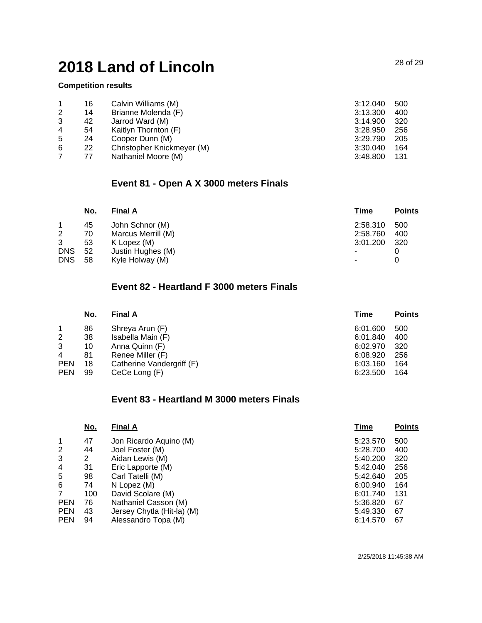#### **Competition results**

|   | 16 | Calvin Williams (M)        | 3:12.040 | 500  |
|---|----|----------------------------|----------|------|
| 2 | 14 | Brianne Molenda (F)        | 3:13.300 | 400  |
| 3 | 42 | Jarrod Ward (M)            | 3:14.900 | -320 |
| 4 | 54 | Kaitlyn Thornton (F)       | 3:28.950 | 256  |
| 5 | 24 | Cooper Dunn (M)            | 3:29.790 | 205  |
| 6 | 22 | Christopher Knickmeyer (M) | 3:30.040 | 164  |
|   | 77 | Nathaniel Moore (M)        | 3:48.800 | 131  |

## **Event 81 - Open A X 3000 meters Finals**

|            | <u>No.</u> | <b>Final A</b>     | <u>Time</u> | <b>Points</b> |
|------------|------------|--------------------|-------------|---------------|
|            | 45         | John Schnor (M)    | 2:58.310    | 500           |
| 2          | 70         | Marcus Merrill (M) | 2:58.760    | 400           |
| 3          | 53         | K Lopez (M)        | 3:01.200    | 320           |
| <b>DNS</b> | 52         | Justin Hughes (M)  | -           |               |
| <b>DNS</b> | 58         | Kyle Holway (M)    | ٠           |               |

## **Event 82 - Heartland F 3000 meters Finals**

| <u>No.</u> | <b>Final A</b>            | Time     | <b>Points</b> |
|------------|---------------------------|----------|---------------|
| 86         | Shreya Arun (F)           | 6:01.600 | 500           |
| 38         | Isabella Main (F)         | 6:01.840 | 400           |
| 10         | Anna Quinn (F)            | 6:02.970 | 320           |
| 81         | Renee Miller (F)          | 6:08.920 | 256           |
| 18         | Catherine Vandergriff (F) | 6:03.160 | 164           |
| 99         | CeCe Long (F)             | 6:23.500 | 164           |
|            |                           |          |               |

### **Event 83 - Heartland M 3000 meters Finals**

| $\mathbf{1}$<br>47<br>5:23.570<br>Jon Ricardo Aquino (M)   | 500 |
|------------------------------------------------------------|-----|
| $\overline{2}$<br>Joel Foster (M)<br>44<br>5:28.700        | 400 |
| 3<br>Aidan Lewis (M)<br>5:40.200<br>2                      | 320 |
| 4<br>31<br>5:42.040<br>Eric Lapporte (M)                   | 256 |
| 5<br>98<br>Carl Tatelli (M)<br>5:42.640                    | 205 |
| 6<br>6:00.940<br>74<br>N Lopez (M)                         | 164 |
| $\overline{7}$<br>100<br>David Scolare (M)<br>6:01.740     | 131 |
| <b>PEN</b><br>76<br>Nathaniel Casson (M)<br>5:36.820       | 67  |
| <b>PEN</b><br>Jersey Chytla (Hit-la) (M)<br>5:49.330<br>43 | 67  |
| <b>PEN</b><br>Alessandro Topa (M)<br>6:14.570<br>94        | 67  |